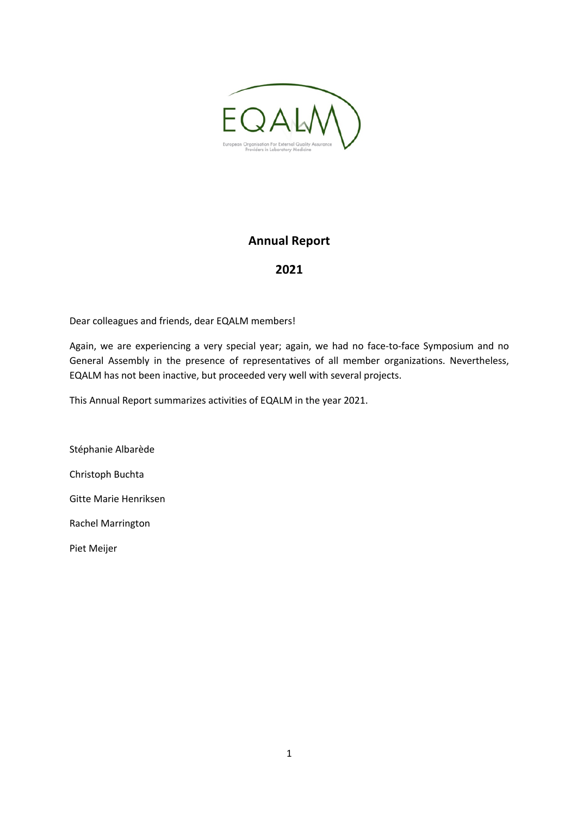

# **Annual Report**

# **2021**

Dear colleagues and friends, dear EQALM members!

Again, we are experiencing a very special year; again, we had no face-to-face Symposium and no General Assembly in the presence of representatives of all member organizations. Nevertheless, EQALM has not been inactive, but proceeded very well with several projects.

This Annual Report summarizes activities of EQALM in the year 2021.

Stéphanie Albarède Christoph Buchta Gitte Marie Henriksen Rachel Marrington Piet Meijer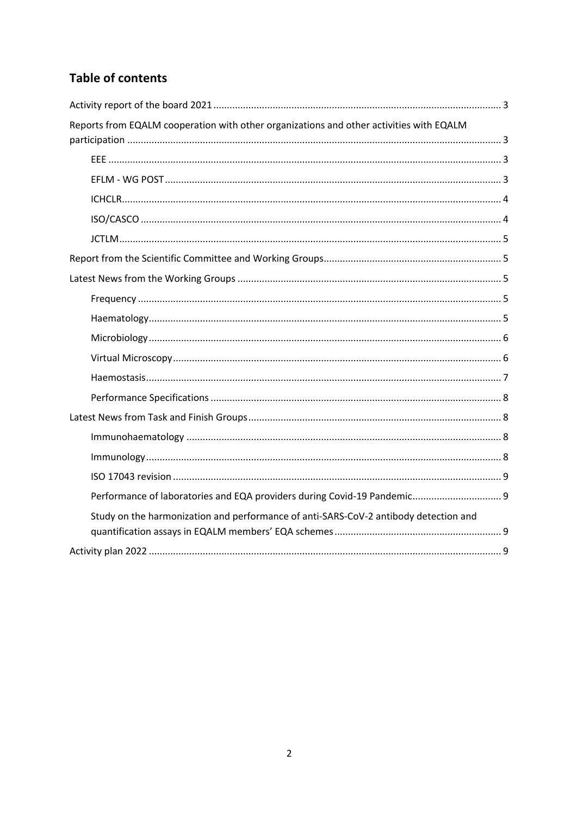# **Table of contents**

| Reports from EQALM cooperation with other organizations and other activities with EQALM |  |  |  |
|-----------------------------------------------------------------------------------------|--|--|--|
|                                                                                         |  |  |  |
|                                                                                         |  |  |  |
|                                                                                         |  |  |  |
|                                                                                         |  |  |  |
|                                                                                         |  |  |  |
|                                                                                         |  |  |  |
|                                                                                         |  |  |  |
|                                                                                         |  |  |  |
|                                                                                         |  |  |  |
|                                                                                         |  |  |  |
|                                                                                         |  |  |  |
|                                                                                         |  |  |  |
|                                                                                         |  |  |  |
|                                                                                         |  |  |  |
|                                                                                         |  |  |  |
|                                                                                         |  |  |  |
|                                                                                         |  |  |  |
| Performance of laboratories and EQA providers during Covid-19 Pandemic 9                |  |  |  |
| Study on the harmonization and performance of anti-SARS-CoV-2 antibody detection and    |  |  |  |
|                                                                                         |  |  |  |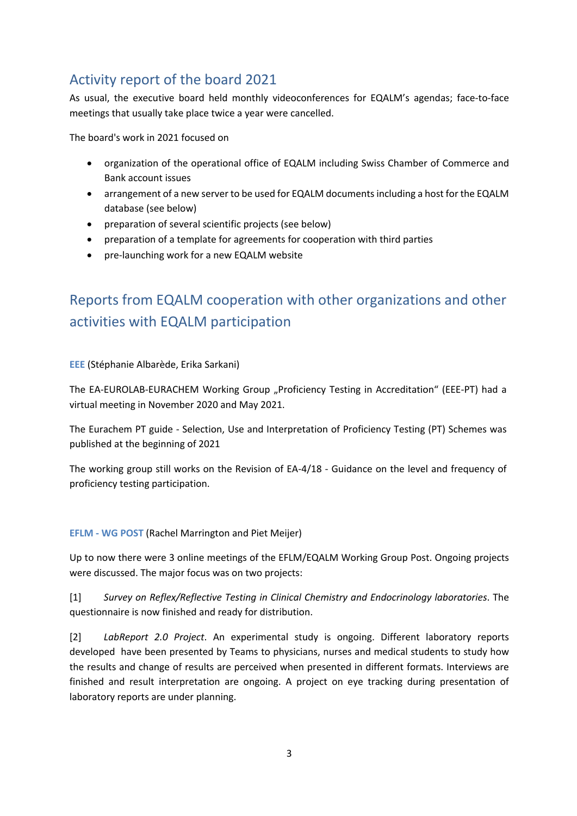# Activity report of the board 2021

As usual, the executive board held monthly videoconferences for EQALM's agendas; face-to-face meetings that usually take place twice a year were cancelled.

The board's work in 2021 focused on

- organization of the operational office of EQALM including Swiss Chamber of Commerce and Bank account issues
- arrangement of a new server to be used for EQALM documents including a host for the EQALM database (see below)
- preparation of several scientific projects (see below)
- preparation of a template for agreements for cooperation with third parties
- pre-launching work for a new EQALM website

# Reports from EQALM cooperation with other organizations and other activities with EQALM participation

**EEE** (Stéphanie Albarède, Erika Sarkani)

The EA-EUROLAB-EURACHEM Working Group "Proficiency Testing in Accreditation" (EEE-PT) had a virtual meeting in November 2020 and May 2021.

The Eurachem PT guide - Selection, Use and Interpretation of Proficiency Testing (PT) Schemes was published at the beginning of 2021

The working group still works on the Revision of EA-4/18 - Guidance on the level and frequency of proficiency testing participation.

## **EFLM - WG POST** (Rachel Marrington and Piet Meijer)

Up to now there were 3 online meetings of the EFLM/EQALM Working Group Post. Ongoing projects were discussed. The major focus was on two projects:

[1] *Survey on Reflex/Reflective Testing in Clinical Chemistry and Endocrinology laboratories*. The questionnaire is now finished and ready for distribution.

[2] *LabReport 2.0 Project*. An experimental study is ongoing. Different laboratory reports developed have been presented by Teams to physicians, nurses and medical students to study how the results and change of results are perceived when presented in different formats. Interviews are finished and result interpretation are ongoing. A project on eye tracking during presentation of laboratory reports are under planning.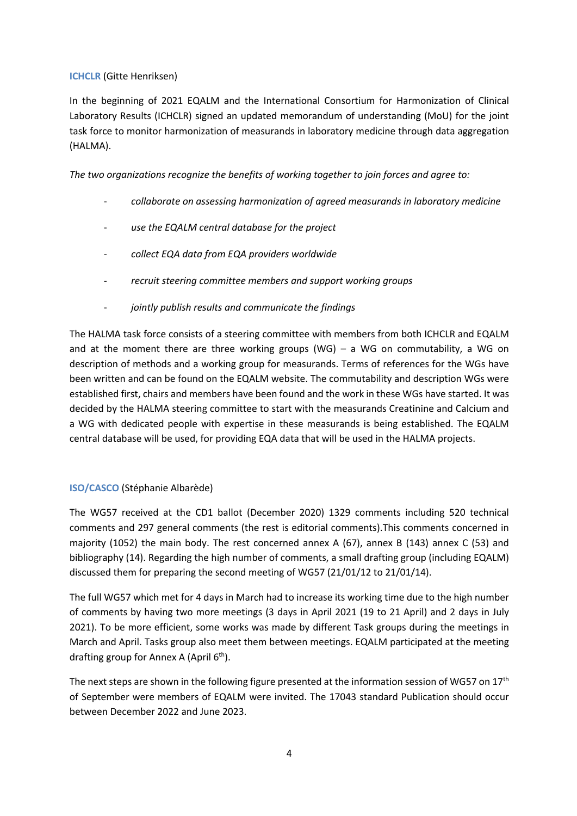#### **ICHCLR** (Gitte Henriksen)

In the beginning of 2021 EQALM and the International Consortium for Harmonization of Clinical Laboratory Results (ICHCLR) signed an updated memorandum of understanding (MoU) for the joint task force to monitor harmonization of measurands in laboratory medicine through data aggregation (HALMA).

*The two organizations recognize the benefits of working together to join forces and agree to:*

- *collaborate on assessing harmonization of agreed measurands in laboratory medicine*
- use the EQALM central database for the project
- *collect EQA data from EQA providers worldwide*
- *recruit steering committee members and support working groups*
- *jointly publish results and communicate the findings*

The HALMA task force consists of a steering committee with members from both ICHCLR and EQALM and at the moment there are three working groups (WG) – a WG on commutability, a WG on description of methods and a working group for measurands. Terms of references for the WGs have been written and can be found on the EQALM website. The commutability and description WGs were established first, chairs and members have been found and the work in these WGs have started. It was decided by the HALMA steering committee to start with the measurands Creatinine and Calcium and a WG with dedicated people with expertise in these measurands is being established. The EQALM central database will be used, for providing EQA data that will be used in the HALMA projects.

#### **ISO/CASCO** (Stéphanie Albarède)

The WG57 received at the CD1 ballot (December 2020) 1329 comments including 520 technical comments and 297 general comments (the rest is editorial comments).This comments concerned in majority (1052) the main body. The rest concerned annex A (67), annex B (143) annex C (53) and bibliography (14). Regarding the high number of comments, a small drafting group (including EQALM) discussed them for preparing the second meeting of WG57 (21/01/12 to 21/01/14).

The full WG57 which met for 4 days in March had to increase its working time due to the high number of comments by having two more meetings (3 days in April 2021 (19 to 21 April) and 2 days in July 2021). To be more efficient, some works was made by different Task groups during the meetings in March and April. Tasks group also meet them between meetings. EQALM participated at the meeting drafting group for Annex A (April  $6<sup>th</sup>$ ).

The next steps are shown in the following figure presented at the information session of WG57 on  $17<sup>th</sup>$ of September were members of EQALM were invited. The 17043 standard Publication should occur between December 2022 and June 2023.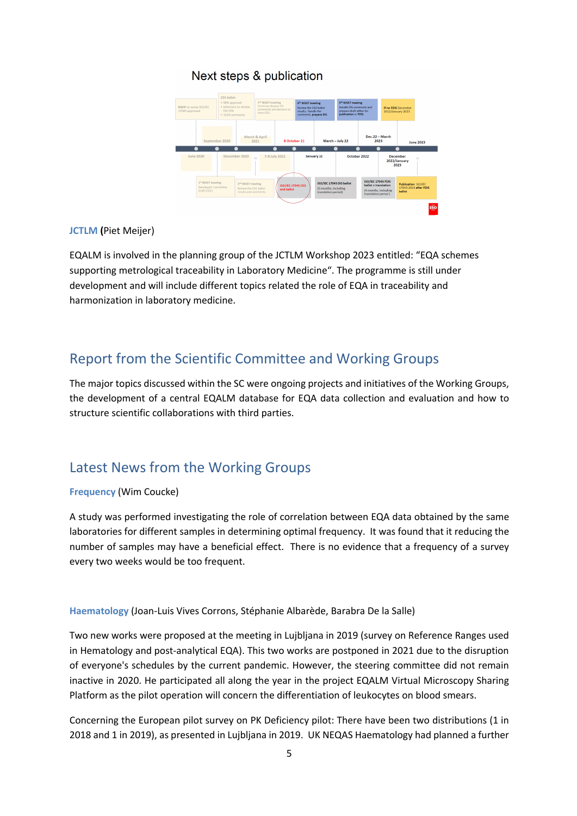# Next steps & publication



#### **JCTLM (**Piet Meijer)

EQALM is involved in the planning group of the JCTLM Workshop 2023 entitled: "EQA schemes supporting metrological traceability in Laboratory Medicine". The programme is still under development and will include different topics related the role of EQA in traceability and harmonization in laboratory medicine.

# Report from the Scientific Committee and Working Groups

The major topics discussed within the SC were ongoing projects and initiatives of the Working Groups, the development of a central EQALM database for EQA data collection and evaluation and how to structure scientific collaborations with third parties.

# Latest News from the Working Groups

#### **Frequency** (Wim Coucke)

A study was performed investigating the role of correlation between EQA data obtained by the same laboratories for different samples in determining optimal frequency. It was found that it reducing the number of samples may have a beneficial effect. There is no evidence that a frequency of a survey every two weeks would be too frequent.

#### **Haematology** (Joan-Luis Vives Corrons, Stéphanie Albarède, Barabra De la Salle)

Two new works were proposed at the meeting in Lujbljana in 2019 (survey on Reference Ranges used in Hematology and post-analytical EQA). This two works are postponed in 2021 due to the disruption of everyone's schedules by the current pandemic. However, the steering committee did not remain inactive in 2020. He participated all along the year in the project EQALM Virtual Microscopy Sharing Platform as the pilot operation will concern the differentiation of leukocytes on blood smears.

Concerning the European pilot survey on PK Deficiency pilot: There have been two distributions (1 in 2018 and 1 in 2019), as presented in Lujbljana in 2019. UK NEQAS Haematology had planned a further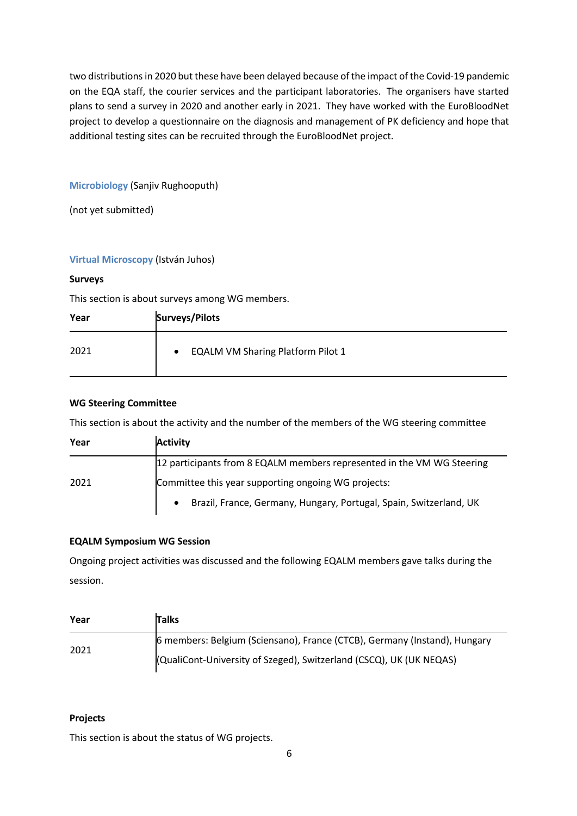two distributions in 2020 but these have been delayed because of the impact of the Covid-19 pandemic on the EQA staff, the courier services and the participant laboratories. The organisers have started plans to send a survey in 2020 and another early in 2021. They have worked with the EuroBloodNet project to develop a questionnaire on the diagnosis and management of PK deficiency and hope that additional testing sites can be recruited through the EuroBloodNet project.

# **Microbiology** (Sanjiv Rughooputh)

(not yet submitted)

## **Virtual Microscopy** (István Juhos)

### **Surveys**

This section is about surveys among WG members.

| Year | <b>Surveys/Pilots</b>                                 |
|------|-------------------------------------------------------|
| 2021 | <b>EQALM VM Sharing Platform Pilot 1</b><br>$\bullet$ |

### **WG Steering Committee**

This section is about the activity and the number of the members of the WG steering committee

| Year | <b>Activity</b>                                                        |
|------|------------------------------------------------------------------------|
|      | 12 participants from 8 EQALM members represented in the VM WG Steering |
| 2021 | Committee this year supporting ongoing WG projects:                    |
|      | Brazil, France, Germany, Hungary, Portugal, Spain, Switzerland, UK     |

## **EQALM Symposium WG Session**

Ongoing project activities was discussed and the following EQALM members gave talks during the session.

| Year | <b>Talks</b>                                                              |
|------|---------------------------------------------------------------------------|
| 2021 | 6 members: Belgium (Sciensano), France (CTCB), Germany (Instand), Hungary |
|      | (QualiCont-University of Szeged), Switzerland (CSCQ), UK (UK NEQAS)       |

## **Projects**

This section is about the status of WG projects.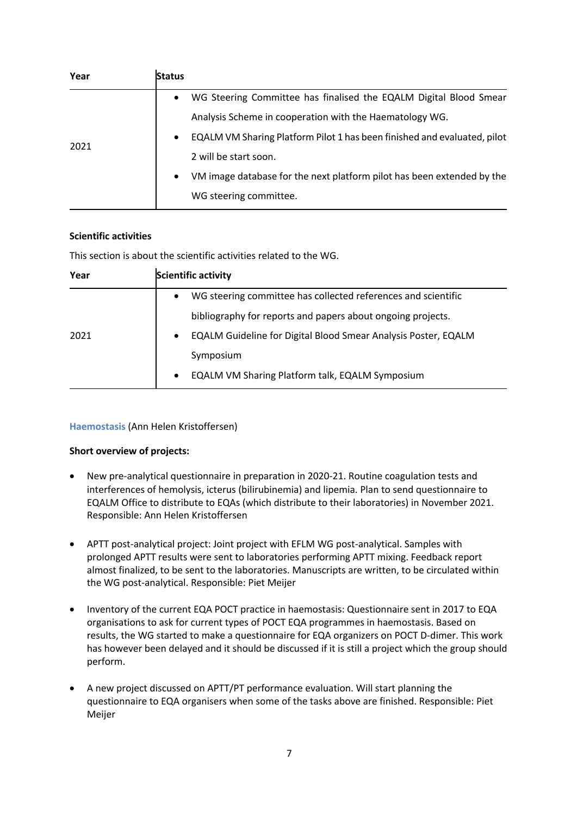| Year | Status    |                                                                          |
|------|-----------|--------------------------------------------------------------------------|
| 2021 | $\bullet$ | WG Steering Committee has finalised the EQALM Digital Blood Smear        |
|      |           | Analysis Scheme in cooperation with the Haematology WG.                  |
|      | $\bullet$ | EQALM VM Sharing Platform Pilot 1 has been finished and evaluated, pilot |
|      |           | 2 will be start soon.                                                    |
|      | ٠         | VM image database for the next platform pilot has been extended by the   |
|      |           | WG steering committee.                                                   |

### **Scientific activities**

This section is about the scientific activities related to the WG.

| Year | <b>Scientific activity</b>                                                         |  |  |
|------|------------------------------------------------------------------------------------|--|--|
|      | WG steering committee has collected references and scientific<br>٠                 |  |  |
|      | bibliography for reports and papers about ongoing projects.                        |  |  |
| 2021 | <b>EQALM Guideline for Digital Blood Smear Analysis Poster, EQALM</b><br>$\bullet$ |  |  |
|      | Symposium                                                                          |  |  |
|      | <b>EQALM VM Sharing Platform talk, EQALM Symposium</b><br>$\bullet$                |  |  |

## **Haemostasis** (Ann Helen Kristoffersen)

#### **Short overview of projects:**

- New pre-analytical questionnaire in preparation in 2020-21. Routine coagulation tests and interferences of hemolysis, icterus (bilirubinemia) and lipemia. Plan to send questionnaire to EQALM Office to distribute to EQAs (which distribute to their laboratories) in November 2021. Responsible: Ann Helen Kristoffersen
- APTT post-analytical project: Joint project with EFLM WG post-analytical. Samples with prolonged APTT results were sent to laboratories performing APTT mixing. Feedback report almost finalized, to be sent to the laboratories. Manuscripts are written, to be circulated within the WG post-analytical. Responsible: Piet Meijer
- Inventory of the current EQA POCT practice in haemostasis: Questionnaire sent in 2017 to EQA organisations to ask for current types of POCT EQA programmes in haemostasis. Based on results, the WG started to make a questionnaire for EQA organizers on POCT D-dimer. This work has however been delayed and it should be discussed if it is still a project which the group should perform.
- A new project discussed on APTT/PT performance evaluation. Will start planning the questionnaire to EQA organisers when some of the tasks above are finished. Responsible: Piet Meijer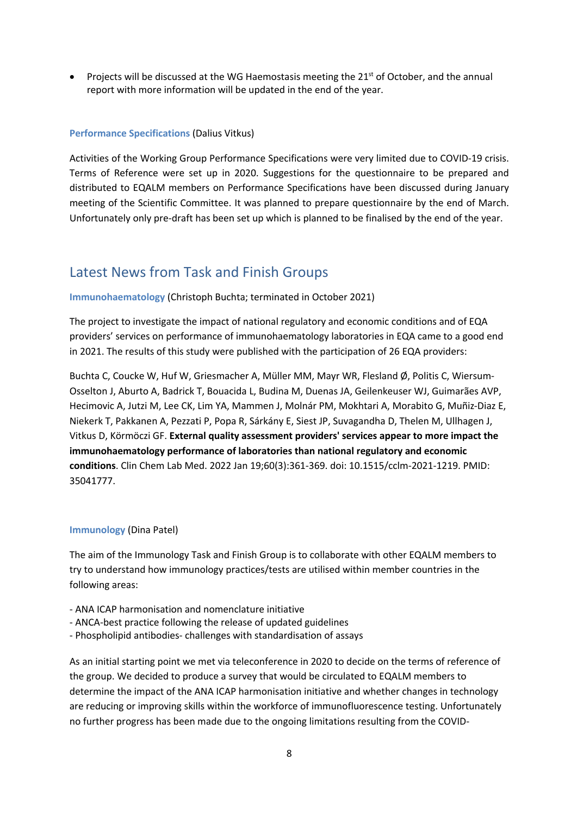• Projects will be discussed at the WG Haemostasis meeting the  $21<sup>st</sup>$  of October, and the annual report with more information will be updated in the end of the year.

#### **Performance Specifications** (Dalius Vitkus)

Activities of the Working Group Performance Specifications were very limited due to COVID-19 crisis. Terms of Reference were set up in 2020. Suggestions for the questionnaire to be prepared and distributed to EQALM members on Performance Specifications have been discussed during January meeting of the Scientific Committee. It was planned to prepare questionnaire by the end of March. Unfortunately only pre-draft has been set up which is planned to be finalised by the end of the year.

# Latest News from Task and Finish Groups

**Immunohaematology** (Christoph Buchta; terminated in October 2021)

The project to investigate the impact of national regulatory and economic conditions and of EQA providers' services on performance of immunohaematology laboratories in EQA came to a good end in 2021. The results of this study were published with the participation of 26 EQA providers:

Buchta C, Coucke W, Huf W, Griesmacher A, Müller MM, Mayr WR, Flesland Ø, Politis C, Wiersum-Osselton J, Aburto A, Badrick T, Bouacida L, Budina M, Duenas JA, Geilenkeuser WJ, Guimarães AVP, Hecimovic A, Jutzi M, Lee CK, Lim YA, Mammen J, Molnár PM, Mokhtari A, Morabito G, Muñiz-Diaz E, Niekerk T, Pakkanen A, Pezzati P, Popa R, Sárkány E, Siest JP, Suvagandha D, Thelen M, Ullhagen J, Vitkus D, Körmöczi GF. **External quality assessment providers' services appear to more impact the immunohaematology performance of laboratories than national regulatory and economic conditions**. Clin Chem Lab Med. 2022 Jan 19;60(3):361-369. doi: 10.1515/cclm-2021-1219. PMID: 35041777.

#### **Immunology** (Dina Patel)

The aim of the Immunology Task and Finish Group is to collaborate with other EQALM members to try to understand how immunology practices/tests are utilised within member countries in the following areas:

- ANA ICAP harmonisation and nomenclature initiative
- ANCA-best practice following the release of updated guidelines
- Phospholipid antibodies- challenges with standardisation of assays

As an initial starting point we met via teleconference in 2020 to decide on the terms of reference of the group. We decided to produce a survey that would be circulated to EQALM members to determine the impact of the ANA ICAP harmonisation initiative and whether changes in technology are reducing or improving skills within the workforce of immunofluorescence testing. Unfortunately no further progress has been made due to the ongoing limitations resulting from the COVID-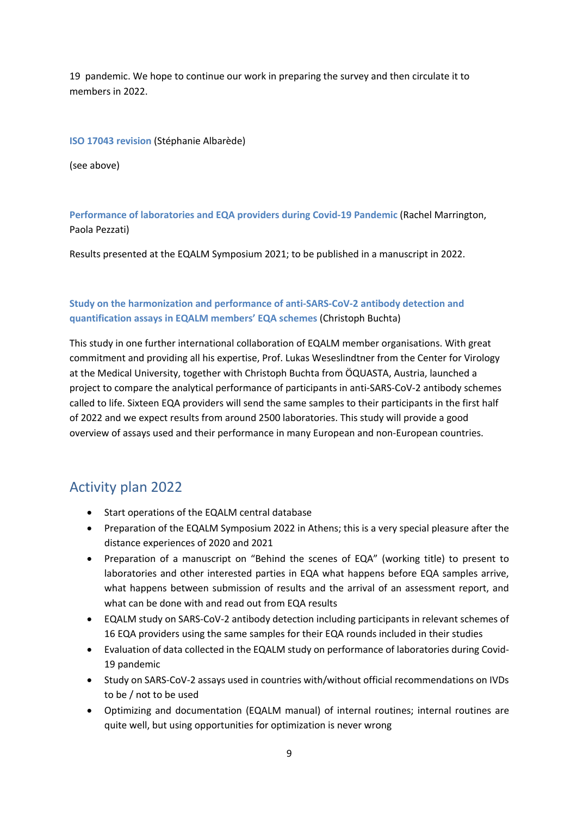19 pandemic. We hope to continue our work in preparing the survey and then circulate it to members in 2022.

#### **ISO 17043 revision** (Stéphanie Albarède)

(see above)

**Performance of laboratories and EQA providers during Covid-19 Pandemic** (Rachel Marrington, Paola Pezzati)

Results presented at the EQALM Symposium 2021; to be published in a manuscript in 2022.

# **Study on the harmonization and performance of anti-SARS-CoV-2 antibody detection and quantification assays in EQALM members' EQA schemes** (Christoph Buchta)

This study in one further international collaboration of EQALM member organisations. With great commitment and providing all his expertise, Prof. Lukas Weseslindtner from the Center for Virology at the Medical University, together with Christoph Buchta from ÖQUASTA, Austria, launched a project to compare the analytical performance of participants in anti-SARS-CoV-2 antibody schemes called to life. Sixteen EQA providers will send the same samples to their participants in the first half of 2022 and we expect results from around 2500 laboratories. This study will provide a good overview of assays used and their performance in many European and non-European countries.

# Activity plan 2022

- Start operations of the EQALM central database
- Preparation of the EQALM Symposium 2022 in Athens; this is a very special pleasure after the distance experiences of 2020 and 2021
- Preparation of a manuscript on "Behind the scenes of EQA" (working title) to present to laboratories and other interested parties in EQA what happens before EQA samples arrive, what happens between submission of results and the arrival of an assessment report, and what can be done with and read out from EQA results
- EQALM study on SARS-CoV-2 antibody detection including participants in relevant schemes of 16 EQA providers using the same samples for their EQA rounds included in their studies
- Evaluation of data collected in the EQALM study on performance of laboratories during Covid-19 pandemic
- Study on SARS-CoV-2 assays used in countries with/without official recommendations on IVDs to be / not to be used
- Optimizing and documentation (EQALM manual) of internal routines; internal routines are quite well, but using opportunities for optimization is never wrong